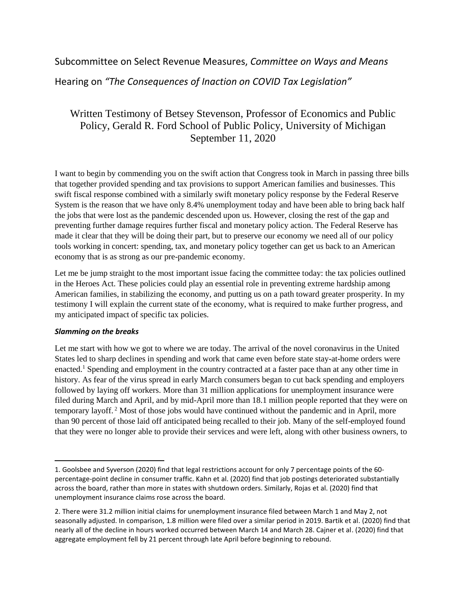# Subcommittee on Select Revenue Measures, *Committee on Ways and Means*

Hearing on *"The Consequences of Inaction on COVID Tax Legislation"*

# Written Testimony of Betsey Stevenson, Professor of Economics and Public Policy, Gerald R. Ford School of Public Policy, University of Michigan September 11, 2020

I want to begin by commending you on the swift action that Congress took in March in passing three bills that together provided spending and tax provisions to support American families and businesses. This swift fiscal response combined with a similarly swift monetary policy response by the Federal Reserve System is the reason that we have only 8.4% unemployment today and have been able to bring back half the jobs that were lost as the pandemic descended upon us. However, closing the rest of the gap and preventing further damage requires further fiscal and monetary policy action. The Federal Reserve has made it clear that they will be doing their part, but to preserve our economy we need all of our policy tools working in concert: spending, tax, and monetary policy together can get us back to an American economy that is as strong as our pre-pandemic economy.

Let me be jump straight to the most important issue facing the committee today: the tax policies outlined in the Heroes Act. These policies could play an essential role in preventing extreme hardship among American families, in stabilizing the economy, and putting us on a path toward greater prosperity. In my testimony I will explain the current state of the economy, what is required to make further progress, and my anticipated impact of specific tax policies.

# *Slamming on the breaks*

 $\overline{a}$ 

Let me start with how we got to where we are today. The arrival of the novel coronavirus in the United States led to sharp declines in spending and work that came even before state stay-at-home orders were enacted.<sup>1</sup> Spending and employment in the country contracted at a faster pace than at any other time in history. As fear of the virus spread in early March consumers began to cut back spending and employers followed by laying off workers. More than 31 million applications for unemployment insurance were filed during March and April, and by mid-April more than 18.1 million people reported that they were on temporary layoff. <sup>2</sup> Most of those jobs would have continued without the pandemic and in April, more than 90 percent of those laid off anticipated being recalled to their job. Many of the self-employed found that they were no longer able to provide their services and were left, along with other business owners, to

<sup>1.</sup> Goolsbee and Syverson (2020) find that legal restrictions account for only 7 percentage points of the 60 percentage-point decline in consumer traffic. Kahn et al. (2020) find that job postings deteriorated substantially across the board, rather than more in states with shutdown orders. Similarly, Rojas et al. (2020) find that unemployment insurance claims rose across the board.

<sup>2.</sup> There were 31.2 million initial claims for unemployment insurance filed between March 1 and May 2, not seasonally adjusted. In comparison, 1.8 million were filed over a similar period in 2019. Bartik et al. (2020) find that nearly all of the decline in hours worked occurred between March 14 and March 28. Cajner et al. (2020) find that aggregate employment fell by 21 percent through late April before beginning to rebound.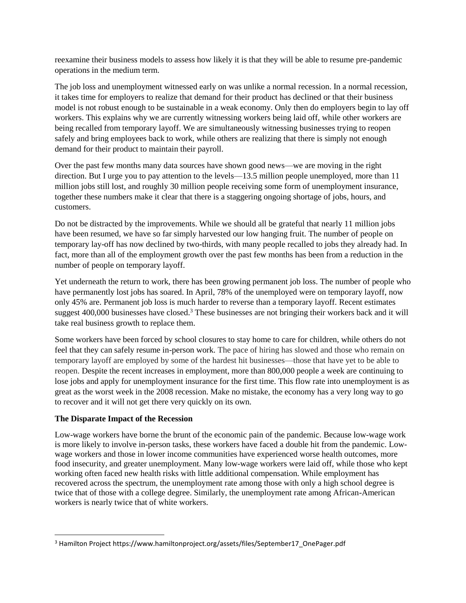reexamine their business models to assess how likely it is that they will be able to resume pre-pandemic operations in the medium term.

The job loss and unemployment witnessed early on was unlike a normal recession. In a normal recession, it takes time for employers to realize that demand for their product has declined or that their business model is not robust enough to be sustainable in a weak economy. Only then do employers begin to lay off workers. This explains why we are currently witnessing workers being laid off, while other workers are being recalled from temporary layoff. We are simultaneously witnessing businesses trying to reopen safely and bring employees back to work, while others are realizing that there is simply not enough demand for their product to maintain their payroll.

Over the past few months many data sources have shown good news—we are moving in the right direction. But I urge you to pay attention to the levels—13.5 million people unemployed, more than 11 million jobs still lost, and roughly 30 million people receiving some form of unemployment insurance, together these numbers make it clear that there is a staggering ongoing shortage of jobs, hours, and customers.

Do not be distracted by the improvements. While we should all be grateful that nearly 11 million jobs have been resumed, we have so far simply harvested our low hanging fruit. The number of people on temporary lay-off has now declined by two-thirds, with many people recalled to jobs they already had. In fact, more than all of the employment growth over the past few months has been from a reduction in the number of people on temporary layoff.

Yet underneath the return to work, there has been growing permanent job loss. The number of people who have permanently lost jobs has soared. In April, 78% of the unemployed were on temporary layoff, now only 45% are. Permanent job loss is much harder to reverse than a temporary layoff. Recent estimates suggest 400,000 businesses have closed.<sup>3</sup> These businesses are not bringing their workers back and it will take real business growth to replace them.

Some workers have been forced by school closures to stay home to care for children, while others do not feel that they can safely resume in-person work. The pace of hiring has slowed and those who remain on temporary layoff are employed by some of the hardest hit businesses—those that have yet to be able to reopen. Despite the recent increases in employment, more than 800,000 people a week are continuing to lose jobs and apply for unemployment insurance for the first time. This flow rate into unemployment is as great as the worst week in the 2008 recession. Make no mistake, the economy has a very long way to go to recover and it will not get there very quickly on its own.

# **The Disparate Impact of the Recession**

 $\overline{a}$ 

Low-wage workers have borne the brunt of the economic pain of the pandemic. Because low-wage work is more likely to involve in-person tasks, these workers have faced a double hit from the pandemic. Lowwage workers and those in lower income communities have experienced worse health outcomes, more food insecurity, and greater unemployment. Many low-wage workers were laid off, while those who kept working often faced new health risks with little additional compensation. While employment has recovered across the spectrum, the unemployment rate among those with only a high school degree is twice that of those with a college degree. Similarly, the unemployment rate among African-American workers is nearly twice that of white workers.

<sup>3</sup> Hamilton Project https://www.hamiltonproject.org/assets/files/September17\_OnePager.pdf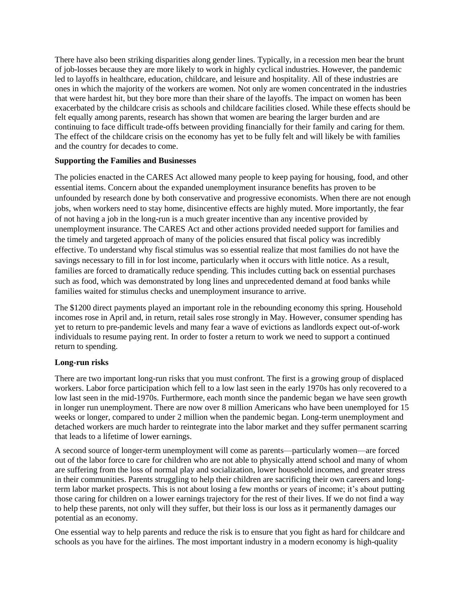There have also been striking disparities along gender lines. Typically, in a recession men bear the brunt of job-losses because they are more likely to work in highly cyclical industries. However, the pandemic led to layoffs in healthcare, education, childcare, and leisure and hospitality. All of these industries are ones in which the majority of the workers are women. Not only are women concentrated in the industries that were hardest hit, but they bore more than their share of the layoffs. The impact on women has been exacerbated by the childcare crisis as schools and childcare facilities closed. While these effects should be felt equally among parents, research has shown that women are bearing the larger burden and are continuing to face difficult trade-offs between providing financially for their family and caring for them. The effect of the childcare crisis on the economy has yet to be fully felt and will likely be with families and the country for decades to come.

#### **Supporting the Families and Businesses**

The policies enacted in the CARES Act allowed many people to keep paying for housing, food, and other essential items. Concern about the expanded unemployment insurance benefits has proven to be unfounded by research done by both conservative and progressive economists. When there are not enough jobs, when workers need to stay home, disincentive effects are highly muted. More importantly, the fear of not having a job in the long-run is a much greater incentive than any incentive provided by unemployment insurance. The CARES Act and other actions provided needed support for families and the timely and targeted approach of many of the policies ensured that fiscal policy was incredibly effective. To understand why fiscal stimulus was so essential realize that most families do not have the savings necessary to fill in for lost income, particularly when it occurs with little notice. As a result, families are forced to dramatically reduce spending. This includes cutting back on essential purchases such as food, which was demonstrated by long lines and unprecedented demand at food banks while families waited for stimulus checks and unemployment insurance to arrive.

The \$1200 direct payments played an important role in the rebounding economy this spring. Household incomes rose in April and, in return, retail sales rose strongly in May. However, consumer spending has yet to return to pre-pandemic levels and many fear a wave of evictions as landlords expect out-of-work individuals to resume paying rent. In order to foster a return to work we need to support a continued return to spending.

# **Long-run risks**

There are two important long-run risks that you must confront. The first is a growing group of displaced workers. Labor force participation which fell to a low last seen in the early 1970s has only recovered to a low last seen in the mid-1970s. Furthermore, each month since the pandemic began we have seen growth in longer run unemployment. There are now over 8 million Americans who have been unemployed for 15 weeks or longer, compared to under 2 million when the pandemic began. Long-term unemployment and detached workers are much harder to reintegrate into the labor market and they suffer permanent scarring that leads to a lifetime of lower earnings.

A second source of longer-term unemployment will come as parents—particularly women—are forced out of the labor force to care for children who are not able to physically attend school and many of whom are suffering from the loss of normal play and socialization, lower household incomes, and greater stress in their communities. Parents struggling to help their children are sacrificing their own careers and longterm labor market prospects. This is not about losing a few months or years of income; it's about putting those caring for children on a lower earnings trajectory for the rest of their lives. If we do not find a way to help these parents, not only will they suffer, but their loss is our loss as it permanently damages our potential as an economy.

One essential way to help parents and reduce the risk is to ensure that you fight as hard for childcare and schools as you have for the airlines. The most important industry in a modern economy is high-quality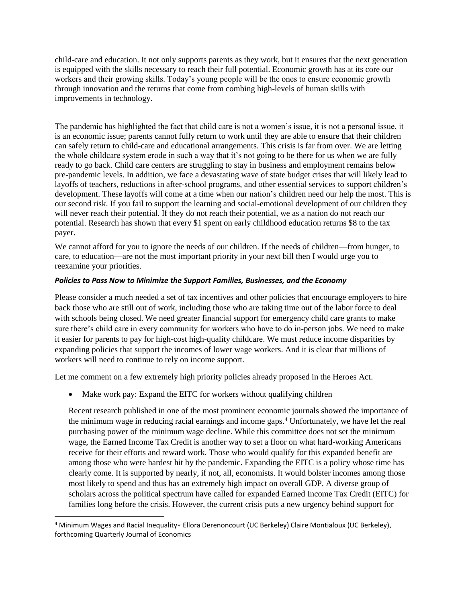child-care and education. It not only supports parents as they work, but it ensures that the next generation is equipped with the skills necessary to reach their full potential. Economic growth has at its core our workers and their growing skills. Today's young people will be the ones to ensure economic growth through innovation and the returns that come from combing high-levels of human skills with improvements in technology.

The pandemic has highlighted the fact that child care is not a women's issue, it is not a personal issue, it is an economic issue; parents cannot fully return to work until they are able to ensure that their children can safely return to child-care and educational arrangements. This crisis is far from over. We are letting the whole childcare system erode in such a way that it's not going to be there for us when we are fully ready to go back. Child care centers are struggling to stay in business and employment remains below pre-pandemic levels. In addition, we face a devastating wave of state budget crises that will likely lead to layoffs of teachers, reductions in after-school programs, and other essential services to support children's development. These layoffs will come at a time when our nation's children need our help the most. This is our second risk. If you fail to support the learning and social-emotional development of our children they will never reach their potential. If they do not reach their potential, we as a nation do not reach our potential. Research has shown that every \$1 spent on early childhood education returns \$8 to the tax payer.

We cannot afford for you to ignore the needs of our children. If the needs of children—from hunger, to care, to education—are not the most important priority in your next bill then I would urge you to reexamine your priorities.

#### *Policies to Pass Now to Minimize the Support Families, Businesses, and the Economy*

Please consider a much needed a set of tax incentives and other policies that encourage employers to hire back those who are still out of work, including those who are taking time out of the labor force to deal with schools being closed. We need greater financial support for emergency child care grants to make sure there's child care in every community for workers who have to do in-person jobs. We need to make it easier for parents to pay for high-cost high-quality childcare. We must reduce income disparities by expanding policies that support the incomes of lower wage workers. And it is clear that millions of workers will need to continue to rely on income support.

Let me comment on a few extremely high priority policies already proposed in the Heroes Act.

• Make work pay: Expand the EITC for workers without qualifying children

 $\overline{a}$ 

Recent research published in one of the most prominent economic journals showed the importance of the minimum wage in reducing racial earnings and income gaps.<sup>4</sup> Unfortunately, we have let the real purchasing power of the minimum wage decline. While this committee does not set the minimum wage, the Earned Income Tax Credit is another way to set a floor on what hard-working Americans receive for their efforts and reward work. Those who would qualify for this expanded benefit are among those who were hardest hit by the pandemic. Expanding the EITC is a policy whose time has clearly come. It is supported by nearly, if not, all, economists. It would bolster incomes among those most likely to spend and thus has an extremely high impact on overall GDP. A diverse group of scholars across the political spectrum have called for expanded Earned Income Tax Credit (EITC) for families long before the crisis. However, the current crisis puts a new urgency behind support for

<sup>4</sup> Minimum Wages and Racial Inequality∗ Ellora Derenoncourt (UC Berkeley) Claire Montialoux (UC Berkeley), forthcoming Quarterly Journal of Economics